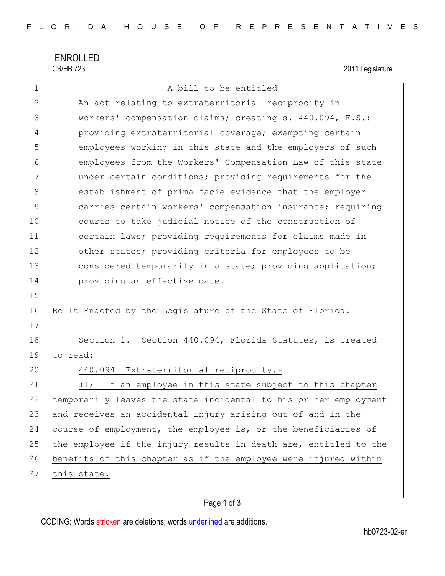ENROLLED<br>CS/HB 723

2011 Legislature

| 1            | A bill to be entitled                                            |
|--------------|------------------------------------------------------------------|
| $\mathbf{2}$ | An act relating to extraterritorial reciprocity in               |
| 3            | workers' compensation claims; creating s. 440.094, F.S.;         |
| 4            | providing extraterritorial coverage; exempting certain           |
| 5            | employees working in this state and the employers of such        |
| 6            | employees from the Workers' Compensation Law of this state       |
| 7            | under certain conditions; providing requirements for the         |
| 8            | establishment of prima facie evidence that the employer          |
| $\mathsf 9$  | carries certain workers' compensation insurance; requiring       |
| 10           | courts to take judicial notice of the construction of            |
| 11           | certain laws; providing requirements for claims made in          |
| 12           | other states; providing criteria for employees to be             |
| 13           | considered temporarily in a state; providing application;        |
| 14           | providing an effective date.                                     |
| 15           |                                                                  |
| 16           | Be It Enacted by the Legislature of the State of Florida:        |
| 17           |                                                                  |
| 18           | Section 1. Section 440.094, Florida Statutes, is created         |
| 19           | to read:                                                         |
| 20           | 440.094 Extraterritorial reciprocity.-                           |
| 21           | If an employee in this state subject to this chapter<br>(1)      |
| 22           | temporarily leaves the state incidental to his or her employment |
| 23           | and receives an accidental injury arising out of and in the      |
| 24           | course of employment, the employee is, or the beneficiaries of   |
| 25           | the employee if the injury results in death are, entitled to the |
| 26           | benefits of this chapter as if the employee were injured within  |
| 27           | this state.                                                      |

## Page 1 of 3

CODING: Words stricken are deletions; words underlined are additions.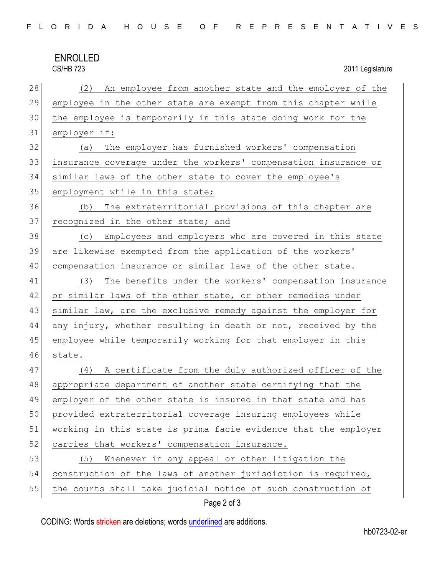## ENROLLED<br>CS/HB 723

2011 Legislature

| 28 | (2) An employee from another state and the employer of the      |
|----|-----------------------------------------------------------------|
| 29 | employee in the other state are exempt from this chapter while  |
| 30 | the employee is temporarily in this state doing work for the    |
| 31 | employer if:                                                    |
| 32 | The employer has furnished workers' compensation<br>(a)         |
| 33 | insurance coverage under the workers' compensation insurance or |
| 34 | similar laws of the other state to cover the employee's         |
| 35 | employment while in this state;                                 |
| 36 | The extraterritorial provisions of this chapter are<br>(b)      |
| 37 | recognized in the other state; and                              |
| 38 | (c) Employees and employers who are covered in this state       |
| 39 | are likewise exempted from the application of the workers'      |
| 40 | compensation insurance or similar laws of the other state.      |
| 41 | The benefits under the workers' compensation insurance<br>(3)   |
| 42 | or similar laws of the other state, or other remedies under     |
| 43 | similar law, are the exclusive remedy against the employer for  |
| 44 | any injury, whether resulting in death or not, received by the  |
| 45 | employee while temporarily working for that employer in this    |
| 46 | state.                                                          |
| 47 | A certificate from the duly authorized officer of the<br>(4)    |
| 48 | appropriate department of another state certifying that the     |
| 49 | employer of the other state is insured in that state and has    |
| 50 | provided extraterritorial coverage insuring employees while     |
| 51 | working in this state is prima facie evidence that the employer |
| 52 | carries that workers' compensation insurance.                   |
| 53 | Whenever in any appeal or other litigation the<br>(5)           |
| 54 | construction of the laws of another jurisdiction is required,   |
| 55 | the courts shall take judicial notice of such construction of   |

## Page 2 of 3

CODING: Words stricken are deletions; words underlined are additions.